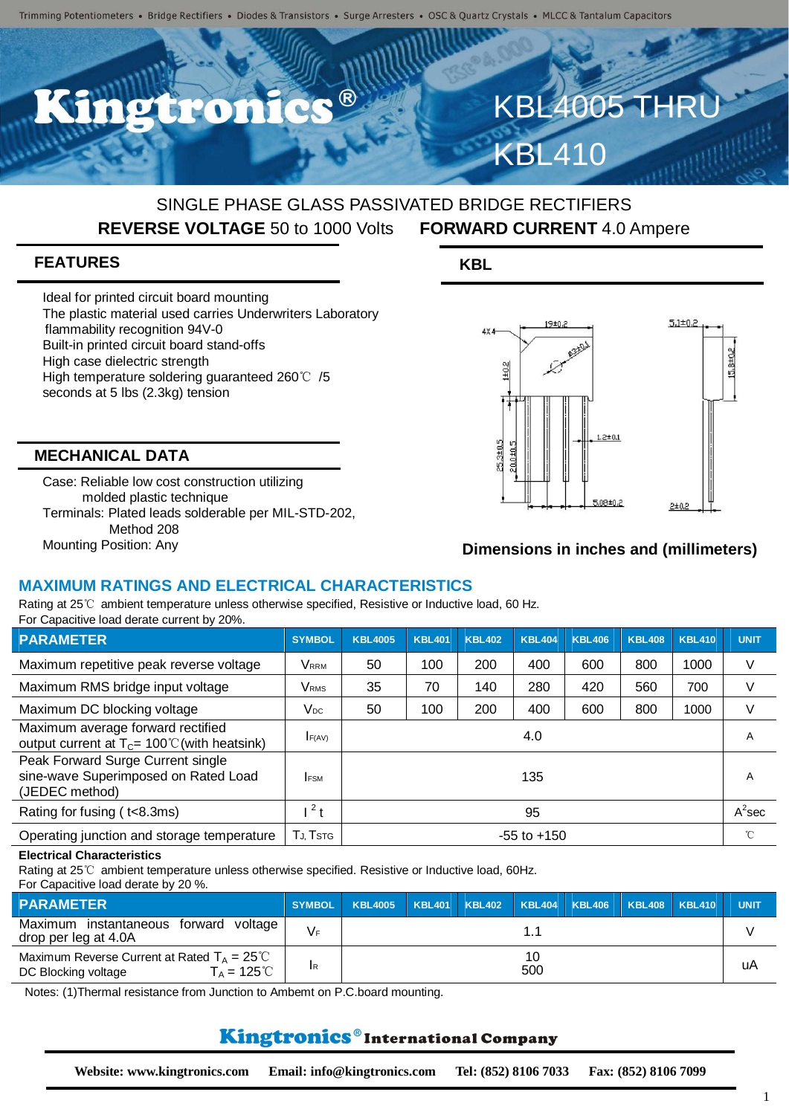# SINGLE PHASE GLASS PASSIVATED BRIDGE RECTIFIERS **REVERSE VOLTAGE** 50 to 1000 Volts **FORWARD CURRENT** 4.0 Ampere

# **FEATURES**

Ideal for printed circuit board mounting The plastic material used carries Underwriters Laboratory flammability recognition 94V-0 Built-in printed circuit board stand-offs High case dielectric strength High temperature soldering guaranteed 260℃ /5 seconds at 5 lbs (2.3kg) tension

## **MECHANICAL DATA**

Case: Reliable low cost construction utilizing molded plastic technique Terminals: Plated leads solderable per MIL-STD-202, Method 208 Mounting Position: Any

# **KBL**



**KBL4005 TH** 

KBL410

## **Dimensions in inches and (millimeters)**

### **MAXIMUM RATINGS AND ELECTRICAL CHARACTERISTICS**

Rating at 25℃ ambient temperature unless otherwise specified, Resistive or Inductive load, 60 Hz. For Capacitive load derate current by 20%.

| <b>PARAMETER</b>                                                                            | <b>SYMBOL</b>  | <b>KBL4005</b>  | <b>KBL401</b> | <b>KBL402</b> | <b>KBL404</b> | <b>KBL406</b> | <b>KBL408</b> | <b>KBL410</b> | <b>UNIT</b> |
|---------------------------------------------------------------------------------------------|----------------|-----------------|---------------|---------------|---------------|---------------|---------------|---------------|-------------|
| Maximum repetitive peak reverse voltage                                                     | <b>VRRM</b>    | 50              | 100           | 200           | 400           | 600           | 800           | 1000          | V           |
| Maximum RMS bridge input voltage                                                            | VRMS           | 35              | 70            | 140           | 280           | 420           | 560           | 700           | V           |
| Maximum DC blocking voltage                                                                 | $V_{DC}$       | 50              | 100           | 200           | 400           | 600           | 800           | 1000          | V           |
| Maximum average forward rectified<br>output current at $T_c = 100 \degree$ (with heatsink)  | F(AV)          | 4.0             |               |               |               |               |               | A             |             |
| Peak Forward Surge Current single<br>sine-wave Superimposed on Rated Load<br>(JEDEC method) | <b>IFSM</b>    | 135             |               |               |               |               |               | A             |             |
| Rating for fusing (t<8.3ms)                                                                 | 2 <sub>t</sub> | 95              |               |               |               |               |               |               | $A^2$ sec   |
| Operating junction and storage temperature                                                  | Tj. Tstg       | $-55$ to $+150$ |               |               |               |               |               | °C            |             |

#### **Electrical Characteristics**

Rating at 25℃ ambient temperature unless otherwise specified. Resistive or Inductive load, 60Hz.

#### For Capacitive load derate by 20 %.

| <b>PARAMETER</b>                                                                                                                | <b>SYMBOL</b> | KBL4005 KBL401 KBL402 KBL404 KBL406 KBL408 KBL410 |  |  |  |  |  |    | <b>UNIT</b> |
|---------------------------------------------------------------------------------------------------------------------------------|---------------|---------------------------------------------------|--|--|--|--|--|----|-------------|
| Maximum instantaneous forward<br>voltage<br>drop per leg at 4.0A                                                                | V⊧            |                                                   |  |  |  |  |  |    |             |
| Maximum Reverse Current at Rated $T_A = 25^{\circ}$ C<br>$\Gamma_\text{\tiny A}=125\,^{\circ}\text{C}$ .<br>DC Blocking voltage | <b>IR</b>     | 500                                               |  |  |  |  |  | uA |             |

Notes: (1)Thermal resistance from Junction to Ambemt on P.C.board mounting.

# Kingtronics®International Company

**Website: www.kingtronics.com Email: info@kingtronics.com Tel: (852) 8106 7033 Fax: (852) 8106 7099**

1